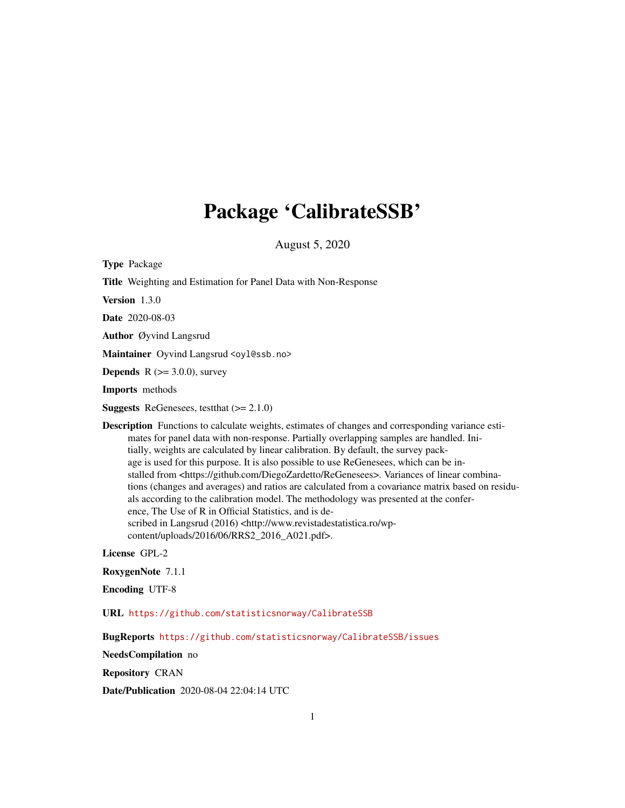## Package 'CalibrateSSB'

August 5, 2020

Type Package Title Weighting and Estimation for Panel Data with Non-Response Version 1.3.0 Date 2020-08-03 Author Øyvind Langsrud Maintainer Oyvind Langsrud <oyl@ssb.no> **Depends** R  $(>= 3.0.0)$ , survey Imports methods **Suggests** ReGenesees, test that  $(>= 2.1.0)$ Description Functions to calculate weights, estimates of changes and corresponding variance estimates for panel data with non-response. Partially overlapping samples are handled. Initially, weights are calculated by linear calibration. By default, the survey package is used for this purpose. It is also possible to use ReGenesees, which can be installed from <https://github.com/DiegoZardetto/ReGenesees>. Variances of linear combinations (changes and averages) and ratios are calculated from a covariance matrix based on residuals according to the calibration model. The methodology was presented at the conference, The Use of R in Official Statistics, and is described in Langsrud (2016) <http://www.revistadestatistica.ro/wpcontent/uploads/2016/06/RRS2\_2016\_A021.pdf>. License GPL-2 RoxygenNote 7.1.1

Encoding UTF-8

URL <https://github.com/statisticsnorway/CalibrateSSB>

BugReports <https://github.com/statisticsnorway/CalibrateSSB/issues>

NeedsCompilation no

Repository CRAN

Date/Publication 2020-08-04 22:04:14 UTC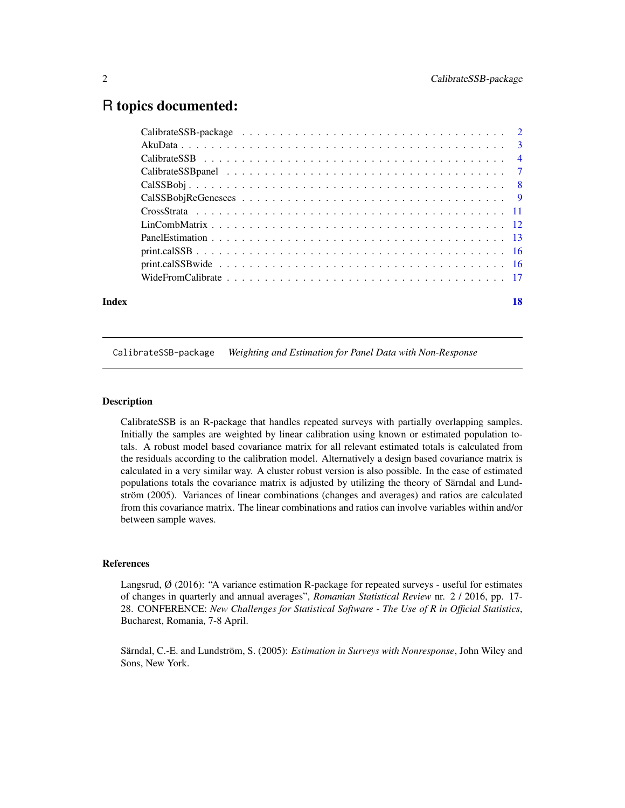### <span id="page-1-0"></span>R topics documented:

| Index | 18 |
|-------|----|

#### CalibrateSSB-package *Weighting and Estimation for Panel Data with Non-Response*

#### Description

CalibrateSSB is an R-package that handles repeated surveys with partially overlapping samples. Initially the samples are weighted by linear calibration using known or estimated population totals. A robust model based covariance matrix for all relevant estimated totals is calculated from the residuals according to the calibration model. Alternatively a design based covariance matrix is calculated in a very similar way. A cluster robust version is also possible. In the case of estimated populations totals the covariance matrix is adjusted by utilizing the theory of Särndal and Lundström (2005). Variances of linear combinations (changes and averages) and ratios are calculated from this covariance matrix. The linear combinations and ratios can involve variables within and/or between sample waves.

#### References

Langsrud, Ø (2016): "A variance estimation R-package for repeated surveys - useful for estimates of changes in quarterly and annual averages", *Romanian Statistical Review* nr. 2 / 2016, pp. 17- 28. CONFERENCE: *New Challenges for Statistical Software - The Use of R in Official Statistics*, Bucharest, Romania, 7-8 April.

Särndal, C.-E. and Lundström, S. (2005): *Estimation in Surveys with Nonresponse*, John Wiley and Sons, New York.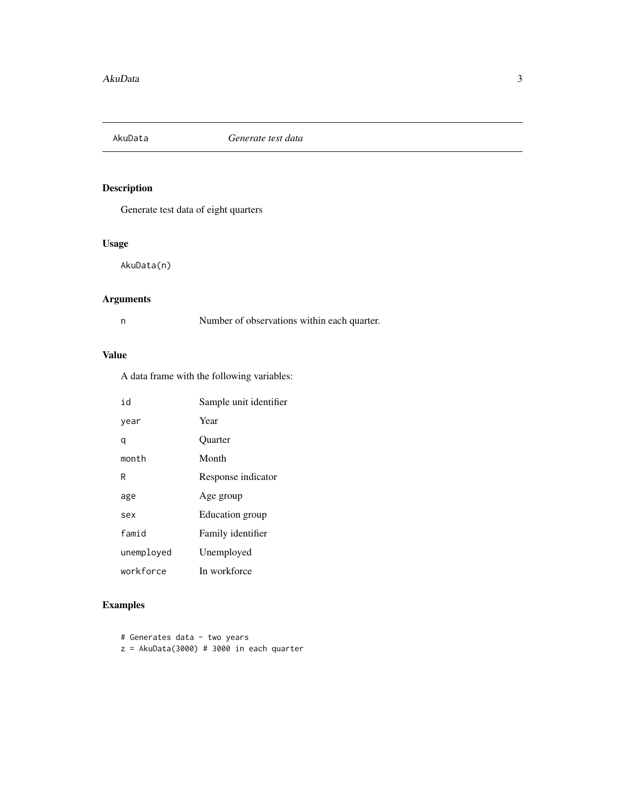<span id="page-2-0"></span>

Generate test data of eight quarters

#### Usage

AkuData(n)

#### Arguments

n Number of observations within each quarter.

#### Value

A data frame with the following variables:

| id         | Sample unit identifier |
|------------|------------------------|
| year       | Year                   |
| q          | <b>Ouarter</b>         |
| month      | Month                  |
| R          | Response indicator     |
| age        | Age group              |
| sex        | Education group        |
| famid      | Family identifier      |
| unemployed | Unemployed             |
| workforce  | In workforce           |

#### Examples

# Generates data - two years  $z = AkuData(3000) # 3000 in each quarter$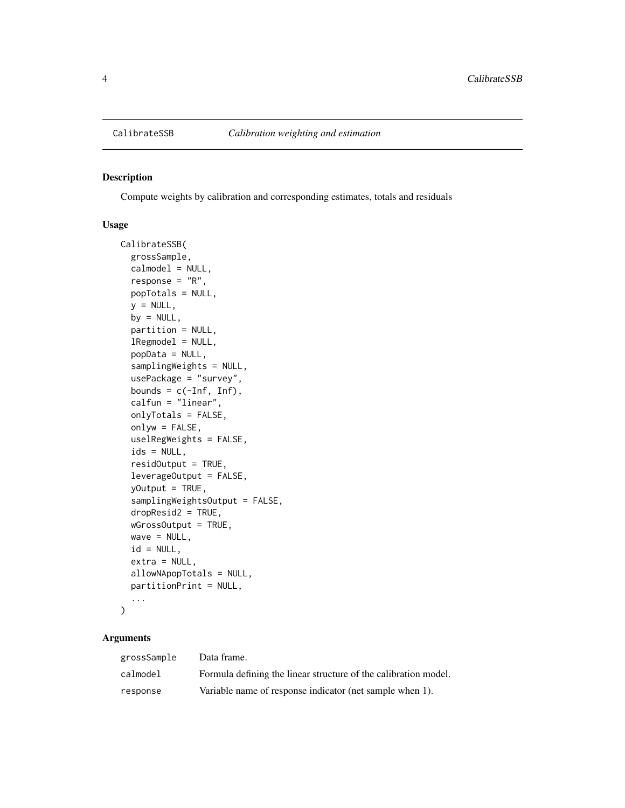<span id="page-3-1"></span><span id="page-3-0"></span>

Compute weights by calibration and corresponding estimates, totals and residuals

#### Usage

```
CalibrateSSB(
  grossSample,
  calmodel = NULL,
  response = "R",
 popTotals = NULL,
  y = NULL,by = NULL,partition = NULL,
  lRegmodel = NULL,
  popData = NULL,
  samplingWeights = NULL,
  usePackage = "survey",
  bounds = c(-Inf, Inf),
  calfun = "linear",
  onlyTotals = FALSE,
  onlyw = FALSE,uselRegWeights = FALSE,
  ids = NULL,residOutput = TRUE,
  leverageOutput = FALSE,
  yOutput = TRUE,
  samplingWeightsOutput = FALSE,
  dropResid2 = TRUE,
  wGrossOutput = TRUE,
  wave = NULL,id = NULL,extra = NULL,
  allowNApopTotals = NULL,
  partitionPrint = NULL,
  ...
```
#### )

#### Arguments

| grossSample | Data frame.                                                     |
|-------------|-----------------------------------------------------------------|
| calmodel    | Formula defining the linear structure of the calibration model. |
| response    | Variable name of response indicator (net sample when 1).        |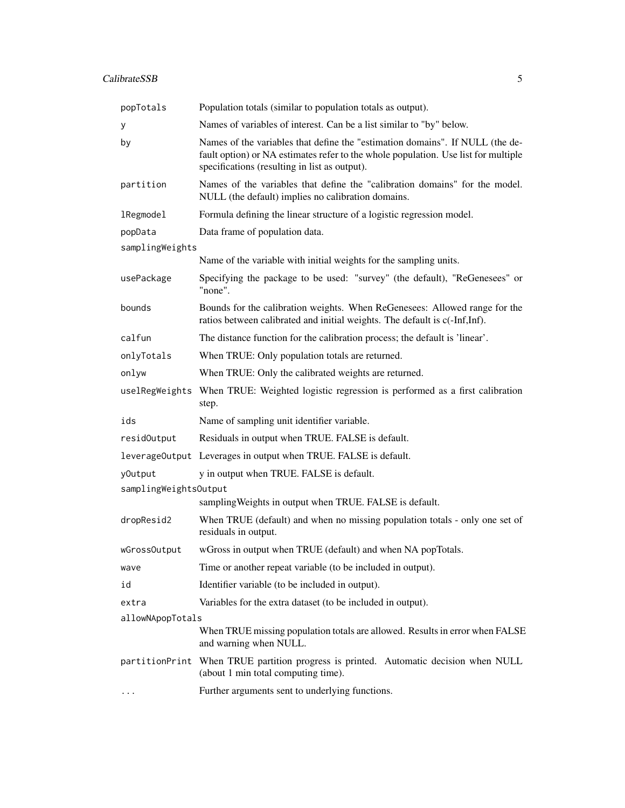| popTotals                                                                        | Population totals (similar to population totals as output).                                                                                                                                                          |  |
|----------------------------------------------------------------------------------|----------------------------------------------------------------------------------------------------------------------------------------------------------------------------------------------------------------------|--|
| У                                                                                | Names of variables of interest. Can be a list similar to "by" below.                                                                                                                                                 |  |
| by                                                                               | Names of the variables that define the "estimation domains". If NULL (the de-<br>fault option) or NA estimates refer to the whole population. Use list for multiple<br>specifications (resulting in list as output). |  |
| partition                                                                        | Names of the variables that define the "calibration domains" for the model.<br>NULL (the default) implies no calibration domains.                                                                                    |  |
| <b>lRegmodel</b>                                                                 | Formula defining the linear structure of a logistic regression model.                                                                                                                                                |  |
| popData                                                                          | Data frame of population data.                                                                                                                                                                                       |  |
| samplingWeights                                                                  |                                                                                                                                                                                                                      |  |
|                                                                                  | Name of the variable with initial weights for the sampling units.                                                                                                                                                    |  |
| usePackage                                                                       | Specifying the package to be used: "survey" (the default), "ReGenesees" or<br>"none".                                                                                                                                |  |
| bounds                                                                           | Bounds for the calibration weights. When ReGenesees: Allowed range for the<br>ratios between calibrated and initial weights. The default is c(-Inf,Inf).                                                             |  |
| calfun                                                                           | The distance function for the calibration process; the default is 'linear'.                                                                                                                                          |  |
| onlyTotals                                                                       | When TRUE: Only population totals are returned.                                                                                                                                                                      |  |
| onlyw                                                                            | When TRUE: Only the calibrated weights are returned.                                                                                                                                                                 |  |
|                                                                                  | uselRegWeights When TRUE: Weighted logistic regression is performed as a first calibration<br>step.                                                                                                                  |  |
| ids                                                                              | Name of sampling unit identifier variable.                                                                                                                                                                           |  |
| residOutput                                                                      | Residuals in output when TRUE. FALSE is default.                                                                                                                                                                     |  |
|                                                                                  | leverage0utput Leverages in output when TRUE. FALSE is default.                                                                                                                                                      |  |
| y0utput                                                                          | y in output when TRUE. FALSE is default.                                                                                                                                                                             |  |
| samplingWeightsOutput<br>sampling Weights in output when TRUE. FALSE is default. |                                                                                                                                                                                                                      |  |
| dropResid2                                                                       | When TRUE (default) and when no missing population totals - only one set of<br>residuals in output.                                                                                                                  |  |
| wGrossOutput                                                                     | wGross in output when TRUE (default) and when NA popTotals.                                                                                                                                                          |  |
| wave                                                                             | Time or another repeat variable (to be included in output).                                                                                                                                                          |  |
| id                                                                               | Identifier variable (to be included in output).                                                                                                                                                                      |  |
| extra                                                                            | Variables for the extra dataset (to be included in output).                                                                                                                                                          |  |
| allowNApopTotals                                                                 |                                                                                                                                                                                                                      |  |
|                                                                                  | When TRUE missing population totals are allowed. Results in error when FALSE<br>and warning when NULL.                                                                                                               |  |
|                                                                                  | partitionPrint When TRUE partition progress is printed. Automatic decision when NULL<br>(about 1 min total computing time).                                                                                          |  |
| .                                                                                | Further arguments sent to underlying functions.                                                                                                                                                                      |  |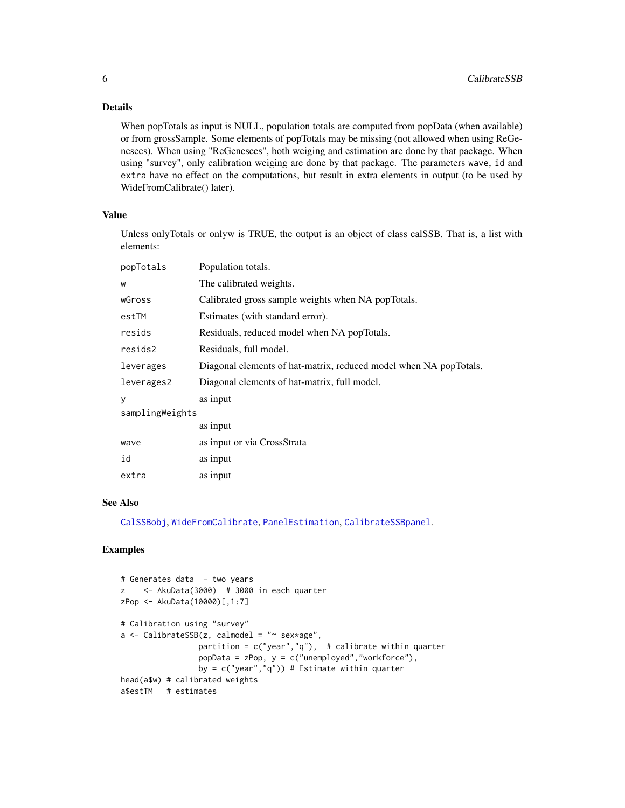#### <span id="page-5-0"></span>Details

When popTotals as input is NULL, population totals are computed from popData (when available) or from grossSample. Some elements of popTotals may be missing (not allowed when using ReGenesees). When using "ReGenesees", both weiging and estimation are done by that package. When using "survey", only calibration weiging are done by that package. The parameters wave, id and extra have no effect on the computations, but result in extra elements in output (to be used by WideFromCalibrate() later).

#### Value

Unless onlyTotals or onlyw is TRUE, the output is an object of class calSSB. That is, a list with elements:

| popTotals       | Population totals.                                                |
|-----------------|-------------------------------------------------------------------|
| W               | The calibrated weights.                                           |
| wGross          | Calibrated gross sample weights when NA popTotals.                |
| estTM           | Estimates (with standard error).                                  |
| resids          | Residuals, reduced model when NA popTotals.                       |
| resids2         | Residuals, full model.                                            |
| leverages       | Diagonal elements of hat-matrix, reduced model when NA popTotals. |
| leverages2      | Diagonal elements of hat-matrix, full model.                      |
| у               | as input                                                          |
| samplingWeights |                                                                   |
|                 | as input                                                          |
| wave            | as input or via CrossStrata                                       |
| id              | as input                                                          |
| extra           | as input                                                          |

#### See Also

[CalSSBobj](#page-7-1), [WideFromCalibrate](#page-16-1), [PanelEstimation](#page-12-1), [CalibrateSSBpanel](#page-6-1).

#### Examples

```
# Generates data - two years
z <- AkuData(3000) # 3000 in each quarter
zPop <- AkuData(10000)[,1:7]
# Calibration using "survey"
a \leftarrow CalibrateSSB(z, calmodel = "~ sex*age",
                 partition = c("year","q"), # calibrate within quarter
                 popData = zPop, y = c("unemployed","workforce"),
                 by = c("year", "q")) # Estimate within quarter
head(a$w) # calibrated weights
a$estTM # estimates
```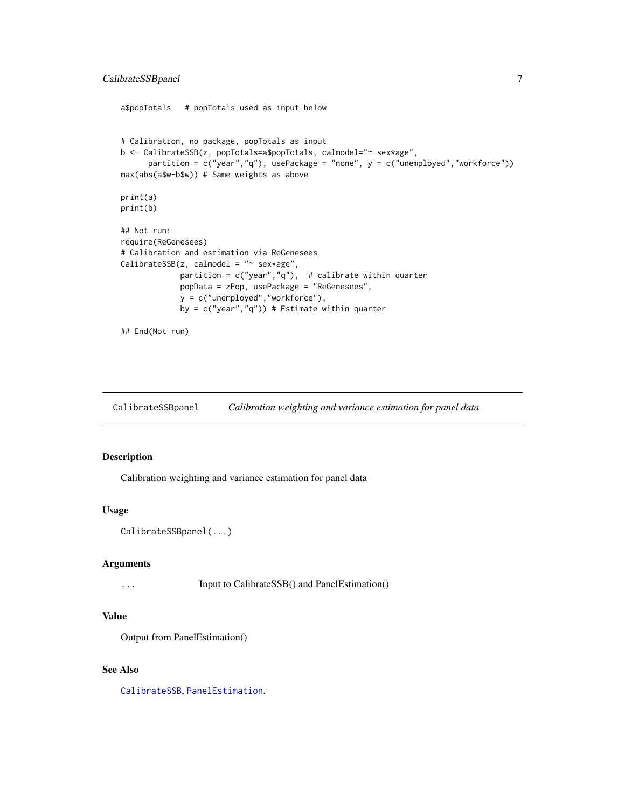#### <span id="page-6-0"></span>CalibrateSSBpanel 7

```
a$popTotals # popTotals used as input below
# Calibration, no package, popTotals as input
b <- CalibrateSSB(z, popTotals=a$popTotals, calmodel="~ sex*age",
     partition = c("year", "q"), usePackage = "none", y = c("unemployed", "workerforce"))max(abs(a$w-b$w)) # Same weights as above
print(a)
print(b)
## Not run:
require(ReGenesees)
# Calibration and estimation via ReGenesees
CalibrateSSB(z, calmodel = "~ sex*age",
            partition = c("year","q"), # calibrate within quarter
            popData = zPop, usePackage = "ReGenesees",
            y = c("unemployed","workforce"),
             by = c("year", "q")) # Estimate within quarter
## End(Not run)
```
<span id="page-6-1"></span>CalibrateSSBpanel *Calibration weighting and variance estimation for panel data*

#### Description

Calibration weighting and variance estimation for panel data

#### Usage

```
CalibrateSSBpanel(...)
```
#### Arguments

... Input to CalibrateSSB() and PanelEstimation()

#### Value

Output from PanelEstimation()

#### See Also

[CalibrateSSB](#page-3-1), [PanelEstimation](#page-12-1).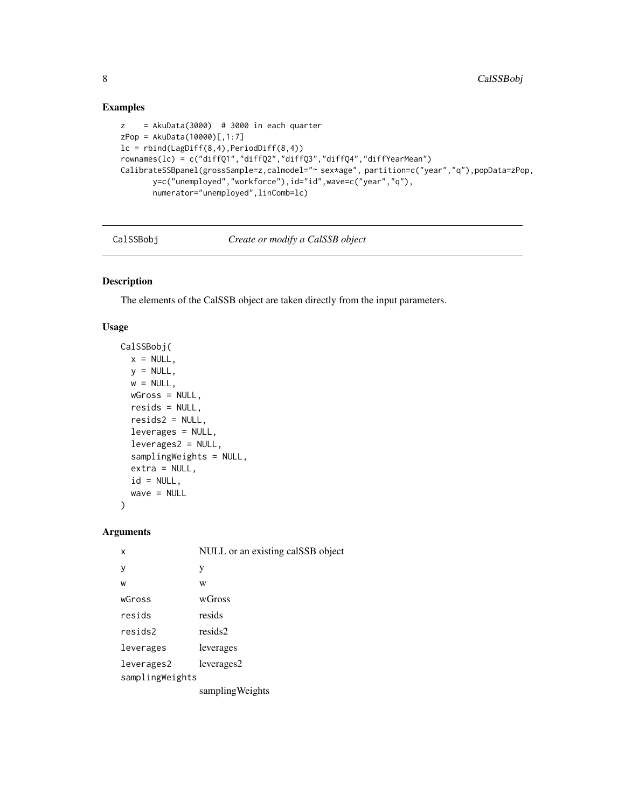#### Examples

```
z = AkuData(3000) # 3000 in each quarter
zPop = AkuData(10000)[,1:7]
lc = rbind(LagDiff(8,4),PeriodDiff(8,4))rownames(lc) = c("diffQ1","diffQ2","diffQ3","diffQ4","diffYearMean")
CalibrateSSBpanel(grossSample=z,calmodel="~ sex*age", partition=c("year","q"),popData=zPop,
       y=c("unemployed","workforce"),id="id",wave=c("year","q"),
       numerator="unemployed",linComb=lc)
```
CalSSBobj *Create or modify a CalSSB object*

#### Description

The elements of the CalSSB object are taken directly from the input parameters.

#### Usage

```
CalSSBobj(
 x = NULL,y = NULL,w = NULL,wGross = NULL,
 resids = NULL,
 resids2 = NULL,
 leverages = NULL,
 leverages2 = NULL,
  samplingWeights = NULL,
 extra = NULL,id = NULL,wave = NULL
```
 $\mathcal{L}$ 

#### Arguments

| x               | NULL or an existing calSSB object |  |
|-----------------|-----------------------------------|--|
| у               | у                                 |  |
| W               | W                                 |  |
| wGross          | wGross                            |  |
| resids          | resids                            |  |
| resids2         | resids2                           |  |
| leverages       | leverages                         |  |
| leverages2      | leverages2                        |  |
| samplingWeights |                                   |  |
|                 | sampling Weights                  |  |

<span id="page-7-0"></span>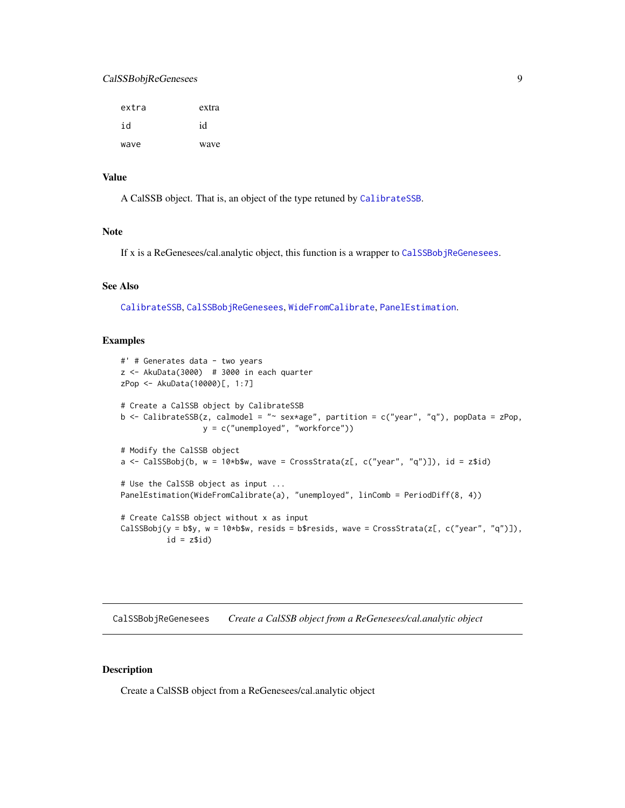#### <span id="page-8-0"></span>CalSSBobjReGenesees 9

| extra | extra |
|-------|-------|
| id    | id    |
| wave  | wave  |

#### Value

A CalSSB object. That is, an object of the type retuned by [CalibrateSSB](#page-3-1).

#### Note

If x is a ReGenesees/cal.analytic object, this function is a wrapper to [CalSSBobjReGenesees](#page-8-1).

#### See Also

[CalibrateSSB](#page-3-1), [CalSSBobjReGenesees](#page-8-1), [WideFromCalibrate](#page-16-1), [PanelEstimation](#page-12-1).

#### Examples

```
#' # Generates data - two years
z \le - AkuData(3000) # 3000 in each quarter
zPop <- AkuData(10000)[, 1:7]
# Create a CalSSB object by CalibrateSSB
b \leq CalibrateSSB(z, calmodel = "\sim sex*age", partition = c("year", "q"), popData = zPop,
                  y = c("unemployed", "workforce"))
# Modify the CalSSB object
a \leq CalSSBobj(b, w = 10*b$w, wave = CrossStrata(z[, c("year", "q")]), id = z$id)
# Use the CalSSB object as input ...
PanelEstimation(WideFromCalibrate(a), "unemployed", linComb = PeriodDiff(8, 4))
# Create CalSSB object without x as input
CalSSBobj(y = b$y, w = 10*b$w, resids = b$resids, wave = CrossStrata(z[, c("year", "q")]),
          id = z$id)
```
<span id="page-8-1"></span>CalSSBobjReGenesees *Create a CalSSB object from a ReGenesees/cal.analytic object*

#### Description

Create a CalSSB object from a ReGenesees/cal.analytic object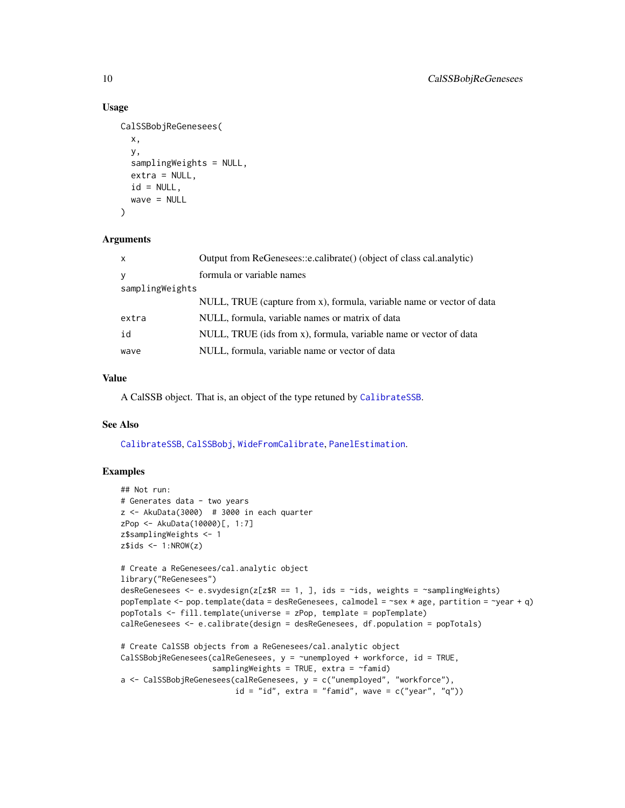#### Usage

```
CalSSBobjReGenesees(
 x,
 y,
 samplingWeights = NULL,
 extra = NULL,id = NULL,wave = NULL)
```
#### Arguments

| $\mathsf{x}$    | Output from ReGenesees::e.calibrate() (object of class cal.analytic)  |
|-----------------|-----------------------------------------------------------------------|
| y               | formula or variable names                                             |
| samplingWeights |                                                                       |
|                 | NULL, TRUE (capture from x), formula, variable name or vector of data |
| extra           | NULL, formula, variable names or matrix of data                       |
| id              | NULL, TRUE (ids from x), formula, variable name or vector of data     |
| wave            | NULL, formula, variable name or vector of data                        |

#### Value

A CalSSB object. That is, an object of the type retuned by [CalibrateSSB](#page-3-1).

#### See Also

[CalibrateSSB](#page-3-1), [CalSSBobj](#page-7-1), [WideFromCalibrate](#page-16-1), [PanelEstimation](#page-12-1).

#### Examples

```
## Not run:
# Generates data - two years
z \le - AkuData(3000) # 3000 in each quarter
zPop <- AkuData(10000)[, 1:7]
z$samplingWeights <- 1
z$ids < -1:NROW(z)# Create a ReGenesees/cal.analytic object
library("ReGenesees")
desReGenesees <- e.svydesign(z[z$R == 1, ], ids = ~ids, weights = ~samplingWeights)
popTemplate <- pop.template(data = desReGenesees, calmodel = ~sex * age, partition = ~year + q)
popTotals <- fill.template(universe = zPop, template = popTemplate)
calReGenesees <- e.calibrate(design = desReGenesees, df.population = popTotals)
# Create CalSSB objects from a ReGenesees/cal.analytic object
CalSSBobjReGenesees(calReGenesees, y = ~unemployed + workforce, id = TRUE,
                    samplingWeights = TRUE, extra = \simfamid)
a <- CalSSBobjReGenesees(calReGenesees, y = c("unemployed", "workforce"),
                         id = "id", extra = "famid", wave = c("year", "q"))
```
<span id="page-9-0"></span>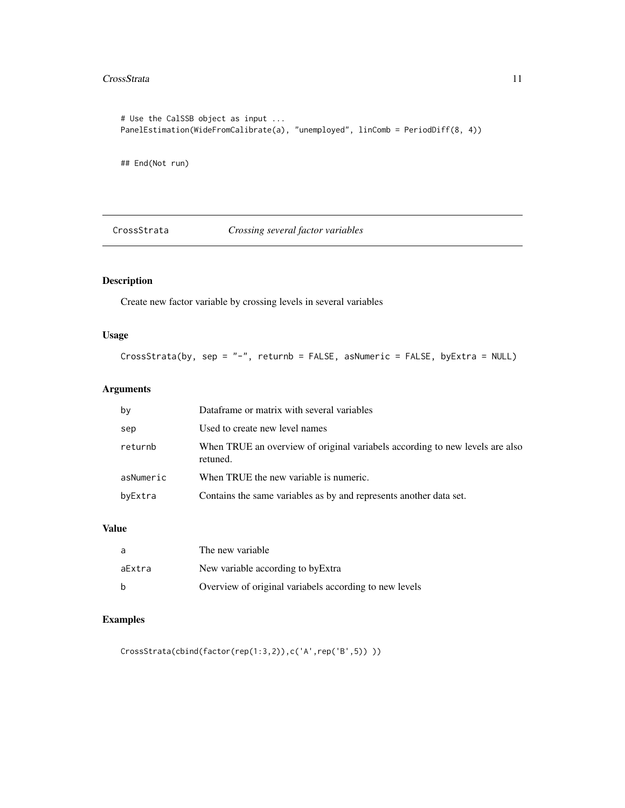#### <span id="page-10-0"></span>CrossStrata 11

```
# Use the CalSSB object as input ...
PanelEstimation(WideFromCalibrate(a), "unemployed", linComb = PeriodDiff(8, 4))
```
## End(Not run)

CrossStrata *Crossing several factor variables*

#### Description

Create new factor variable by crossing levels in several variables

#### Usage

CrossStrata(by, sep = "-", returnb = FALSE, asNumeric = FALSE, byExtra = NULL)

#### Arguments

| by        | Dataframe or matrix with several variables                                               |
|-----------|------------------------------------------------------------------------------------------|
| sep       | Used to create new level names                                                           |
| returnb   | When TRUE an overview of original variabels according to new levels are also<br>retuned. |
| asNumeric | When TRUE the new variable is numeric.                                                   |
| byExtra   | Contains the same variables as by and represents another data set.                       |

#### Value

| a      | The new variable                                       |
|--------|--------------------------------------------------------|
| aExtra | New variable according to by Extra                     |
| b      | Overview of original variabels according to new levels |

#### Examples

CrossStrata(cbind(factor(rep(1:3,2)),c('A',rep('B',5)) ))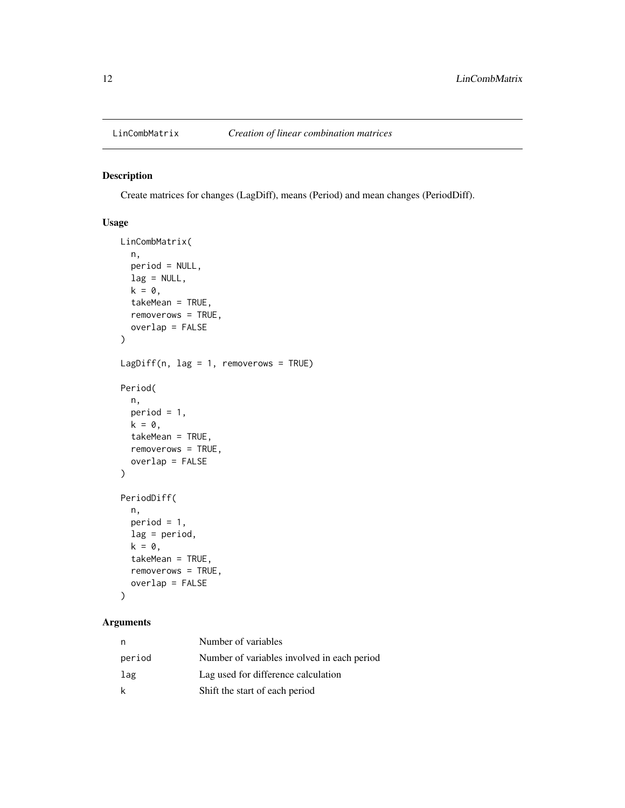<span id="page-11-0"></span>

Create matrices for changes (LagDiff), means (Period) and mean changes (PeriodDiff).

#### Usage

```
LinCombMatrix(
 n,
 period = NULL,
 lag = NULL,k = 0,takeMean = TRUE,
  removerows = TRUE,
 overlap = FALSE
)
LagDiff(n, lag = 1, removerows = TRUE)
Period(
 n,
 period = 1,
 k = 0,takeMean = TRUE,
  removerows = TRUE,
 overlap = FALSE
)
PeriodDiff(
  n,
 period = 1,
 lag = period,
 k = 0,
  takeMean = TRUE,
  removerows = TRUE,
 overlap = FALSE
\mathcal{L}
```
#### Arguments

| n      | Number of variables                         |
|--------|---------------------------------------------|
| period | Number of variables involved in each period |
| lag    | Lag used for difference calculation         |
| k      | Shift the start of each period              |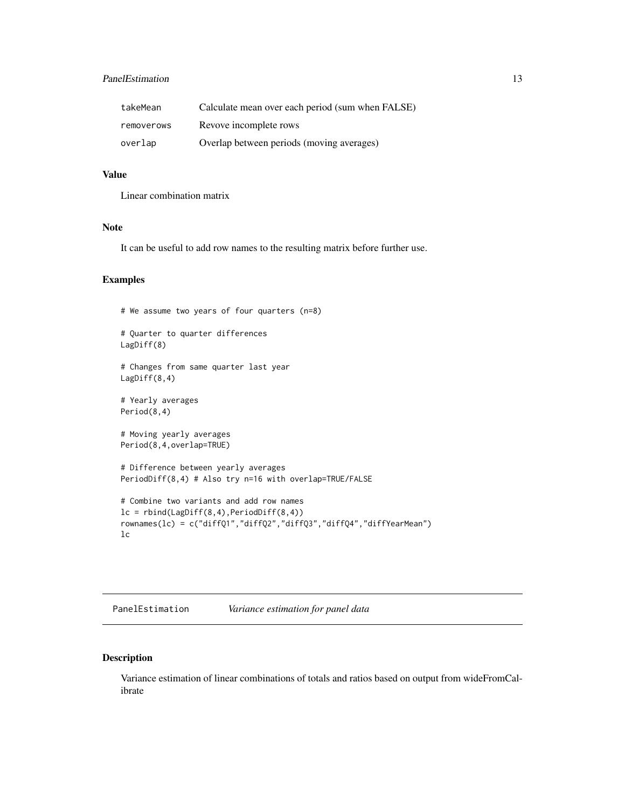#### <span id="page-12-0"></span>PanelEstimation 13

| takeMean   | Calculate mean over each period (sum when FALSE) |
|------------|--------------------------------------------------|
| removerows | Revove incomplete rows                           |
| overlap    | Overlap between periods (moving averages)        |

#### Value

Linear combination matrix

#### Note

It can be useful to add row names to the resulting matrix before further use.

#### Examples

```
# We assume two years of four quarters (n=8)
# Quarter to quarter differences
LagDiff(8)
# Changes from same quarter last year
LagDiff(8,4)
# Yearly averages
Period(8,4)
# Moving yearly averages
Period(8,4,overlap=TRUE)
# Difference between yearly averages
PeriodDiff(8,4) # Also try n=16 with overlap=TRUE/FALSE
# Combine two variants and add row names
lc = rbind(LagDiff(8,4),PeriodDiff(8,4))rownames(lc) = c("diffQ1","diffQ2","diffQ3","diffQ4","diffYearMean")
lc
```
<span id="page-12-1"></span>

| PanelEstimation |  | Variance estimation for panel data |  |  |
|-----------------|--|------------------------------------|--|--|
|-----------------|--|------------------------------------|--|--|

#### Description

Variance estimation of linear combinations of totals and ratios based on output from wideFromCalibrate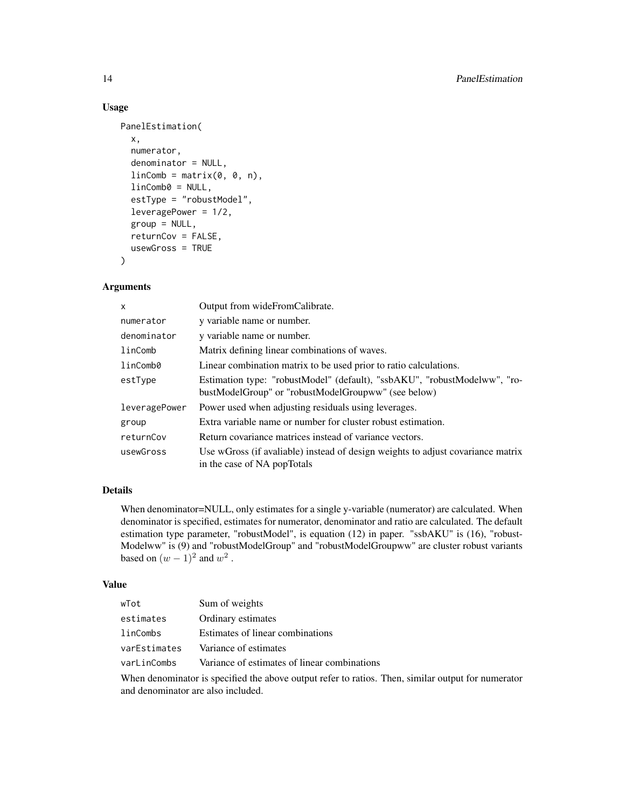#### Usage

```
PanelEstimation(
  x,
  numerator,
  denominator = NULL,
  linComb = matrix(0, 0, n),linComb0 = NULL,
  estType = "robustModel",
  leveragePower = 1/2,
  group = NULL,
  returnCov = FALSE,
 usewGross = TRUE
)
```
#### Arguments

| $\mathsf{x}$  | Output from wideFromCalibrate.                                                                                                   |
|---------------|----------------------------------------------------------------------------------------------------------------------------------|
| numerator     | y variable name or number.                                                                                                       |
| denominator   | y variable name or number.                                                                                                       |
| linComb       | Matrix defining linear combinations of waves.                                                                                    |
| linComb0      | Linear combination matrix to be used prior to ratio calculations.                                                                |
| estType       | Estimation type: "robustModel" (default), "ssbAKU", "robustModelww", "ro-<br>bustModelGroup" or "robustModelGroupww" (see below) |
| leveragePower | Power used when adjusting residuals using leverages.                                                                             |
| group         | Extra variable name or number for cluster robust estimation.                                                                     |
| returnCov     | Return covariance matrices instead of variance vectors.                                                                          |
| usewGross     | Use wGross (if avaliable) instead of design weights to adjust covariance matrix<br>in the case of NA popTotals                   |

#### Details

When denominator=NULL, only estimates for a single y-variable (numerator) are calculated. When denominator is specified, estimates for numerator, denominator and ratio are calculated. The default estimation type parameter, "robustModel", is equation (12) in paper. "ssbAKU" is (16), "robust-Modelww" is (9) and "robustModelGroup" and "robustModelGroupww" are cluster robust variants based on  $(w-1)^2$  and  $w^2$ .

#### Value

| Sum of weights<br>wTot                                      |  |
|-------------------------------------------------------------|--|
| Ordinary estimates<br>estimates                             |  |
| Estimates of linear combinations<br>linCombs                |  |
| Variance of estimates<br>varEstimates                       |  |
| Variance of estimates of linear combinations<br>varLinCombs |  |

When denominator is specified the above output refer to ratios. Then, similar output for numerator and denominator are also included.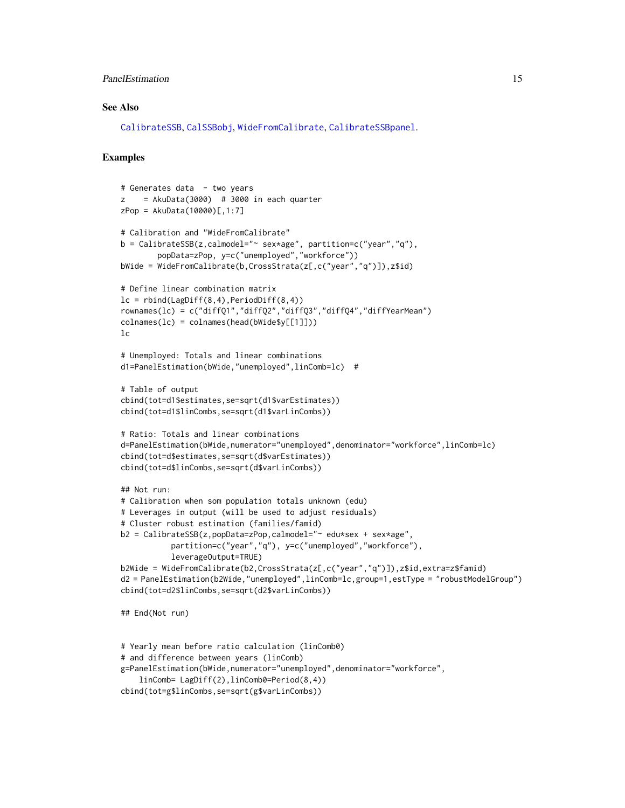#### <span id="page-14-0"></span>PanelEstimation 15

#### See Also

[CalibrateSSB](#page-3-1), [CalSSBobj](#page-7-1), [WideFromCalibrate](#page-16-1), [CalibrateSSBpanel](#page-6-1).

#### Examples

```
# Generates data - two years
z = AkuData(3000) # 3000 in each quarter
zPop = AkuData(10000)[,1:7]# Calibration and "WideFromCalibrate"
b = CalibrateSSB(z,calmodel="~ sex*age", partition=c("year","q"),
        popData=zPop, y=c("unemployed","workforce"))
bWide = WideFromCalibrate(b,CrossStrata(z[,c("year","q")]),z$id)
# Define linear combination matrix
lc = rbind(LagDiff(8,4),PeriodDiff(8,4))rownames(lc) = c("diffQ1","diffQ2","diffQ3","diffQ4","diffYearMean")
colnames(lc) = colnames(head(bWide$y[[1]]))
lc
# Unemployed: Totals and linear combinations
d1=PanelEstimation(bWide,"unemployed",linComb=lc) #
# Table of output
cbind(tot=d1$estimates,se=sqrt(d1$varEstimates))
cbind(tot=d1$linCombs,se=sqrt(d1$varLinCombs))
# Ratio: Totals and linear combinations
d=PanelEstimation(bWide,numerator="unemployed",denominator="workforce",linComb=lc)
cbind(tot=d$estimates,se=sqrt(d$varEstimates))
cbind(tot=d$linCombs,se=sqrt(d$varLinCombs))
## Not run:
# Calibration when som population totals unknown (edu)
# Leverages in output (will be used to adjust residuals)
# Cluster robust estimation (families/famid)
b2 = CalibrateSSB(z,popData=zPop,calmodel="~ edu*sex + sex*age",
           partition=c("year","q"), y=c("unemployed","workforce"),
           leverageOutput=TRUE)
b2Wide = WideFromCalibrate(b2,CrossStrata(z[,c("year","q")]),z$id,extra=z$famid)
d2 = PanelEstimation(b2Wide,"unemployed",linComb=lc,group=1,estType = "robustModelGroup")
cbind(tot=d2$linCombs,se=sqrt(d2$varLinCombs))
## End(Not run)
```

```
# Yearly mean before ratio calculation (linComb0)
# and difference between years (linComb)
g=PanelEstimation(bWide,numerator="unemployed",denominator="workforce",
    linComb= LagDiff(2),linComb0=Period(8,4))
cbind(tot=g$linCombs,se=sqrt(g$varLinCombs))
```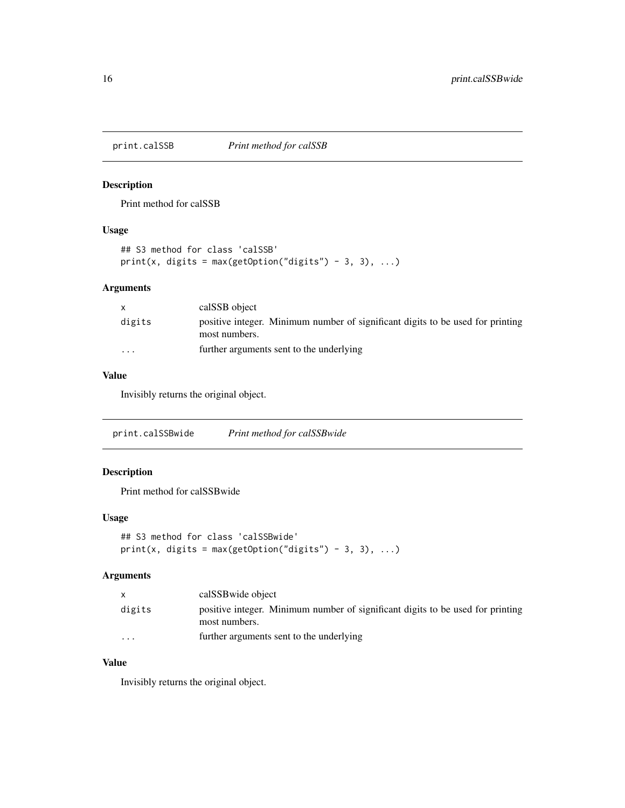<span id="page-15-0"></span>print.calSSB *Print method for calSSB*

#### Description

Print method for calSSB

#### Usage

```
## S3 method for class 'calSSB'
print(x, digits = max(getOption("digits") - 3, 3), ...)
```
#### Arguments

|                         | calSSB object                                                                                   |
|-------------------------|-------------------------------------------------------------------------------------------------|
| digits                  | positive integer. Minimum number of significant digits to be used for printing<br>most numbers. |
| $\cdot$ $\cdot$ $\cdot$ | further arguments sent to the underlying                                                        |

#### Value

Invisibly returns the original object.

print.calSSBwide *Print method for calSSBwide*

#### Description

Print method for calSSBwide

#### Usage

```
## S3 method for class 'calSSBwide'
print(x, digits = max(getOption("digits") - 3, 3), ...)
```
#### Arguments

|                         | calSSB wide object                                                                              |
|-------------------------|-------------------------------------------------------------------------------------------------|
| digits                  | positive integer. Minimum number of significant digits to be used for printing<br>most numbers. |
| $\cdot$ $\cdot$ $\cdot$ | further arguments sent to the underlying                                                        |

#### Value

Invisibly returns the original object.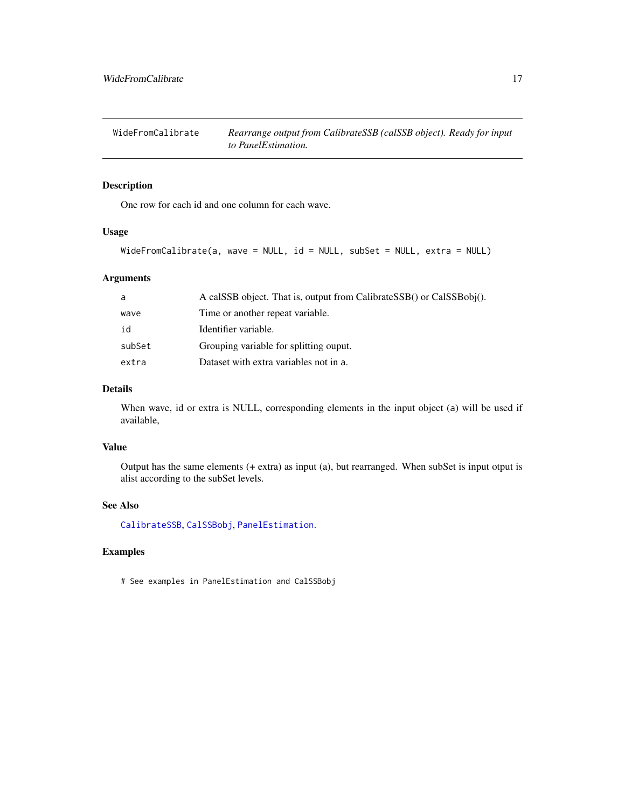<span id="page-16-1"></span><span id="page-16-0"></span>

One row for each id and one column for each wave.

#### Usage

```
WideFromCalibrate(a, wave = NULL, id = NULL, subSet = NULL, extra = NULL)
```
#### Arguments

| a      | A calSSB object. That is, output from CalibrateSSB() or CalSSBobj(). |
|--------|----------------------------------------------------------------------|
| wave   | Time or another repeat variable.                                     |
| id     | Identifier variable.                                                 |
| subSet | Grouping variable for splitting ouput.                               |
| extra  | Dataset with extra variables not in a.                               |

#### Details

When wave, id or extra is NULL, corresponding elements in the input object (a) will be used if available,

#### Value

Output has the same elements (+ extra) as input (a), but rearranged. When subSet is input otput is alist according to the subSet levels.

#### See Also

[CalibrateSSB](#page-3-1), [CalSSBobj](#page-7-1), [PanelEstimation](#page-12-1).

#### Examples

# See examples in PanelEstimation and CalSSBobj